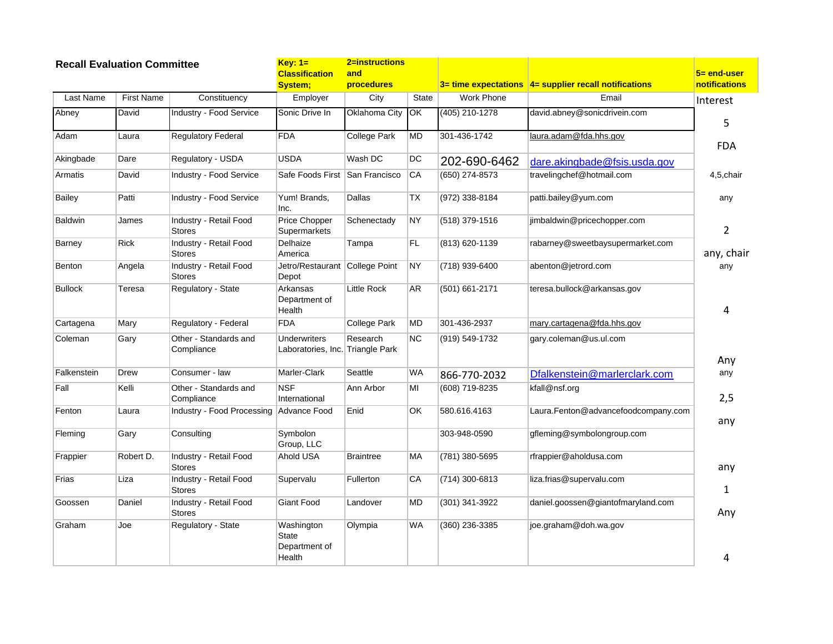| <b>Recall Evaluation Committee</b> |                   | 2=instructions<br>$Key: 1=$             |                                                         |                          |              |                  |                                                        |                                 |
|------------------------------------|-------------------|-----------------------------------------|---------------------------------------------------------|--------------------------|--------------|------------------|--------------------------------------------------------|---------------------------------|
|                                    |                   |                                         | <b>Classification</b><br>System;                        | and<br><b>procedures</b> |              |                  | 3= time expectations  4= supplier recall notifications | $5 = end-user$<br>notifications |
| Last Name                          | <b>First Name</b> | Constituency                            | Employer                                                | City                     | <b>State</b> | Work Phone       | Email                                                  | Interest                        |
| Abney                              | David             | <b>Industry - Food Service</b>          | Sonic Drive In                                          | Oklahoma City            | ЮK           | $(405)$ 210-1278 | david.abney@sonicdrivein.com                           | 5                               |
| Adam                               | Laura             | <b>Regulatory Federal</b>               | <b>FDA</b>                                              | <b>College Park</b>      | MD           | 301-436-1742     | laura.adam@fda.hhs.gov                                 | <b>FDA</b>                      |
| Akingbade                          | Dare              | Regulatory - USDA                       | <b>USDA</b>                                             | Wash DC                  | DC           | 202-690-6462     | dare.akingbade@fsis.usda.gov                           |                                 |
| Armatis                            | David             | Industry - Food Service                 | Safe Foods First San Francisco                          |                          | CA           | (650) 274-8573   | travelingchef@hotmail.com                              | 4,5,chair                       |
| <b>Bailey</b>                      | Patti             | Industry - Food Service                 | Yum! Brands,<br>Inc.                                    | Dallas                   | TX           | (972) 338-8184   | patti.bailey@yum.com                                   | any                             |
| <b>Baldwin</b>                     | James             | Industry - Retail Food<br><b>Stores</b> | <b>Price Chopper</b><br>Supermarkets                    | Schenectady              | NY           | $(518)$ 379-1516 | jimbaldwin@pricechopper.com                            | $\overline{2}$                  |
| Barney                             | <b>Rick</b>       | Industry - Retail Food<br><b>Stores</b> | Delhaize<br>America                                     | Tampa                    | FL           | (813) 620-1139   | rabarney@sweetbaysupermarket.com                       | any, chair                      |
| Benton                             | Angela            | Industry - Retail Food<br><b>Stores</b> | Jetro/Restaurant College Point<br>Depot                 |                          | NY)          | (718) 939-6400   | abenton@jetrord.com                                    | any                             |
| <b>Bullock</b>                     | Teresa            | Regulatory - State                      | Arkansas<br>Department of<br>Health                     | <b>Little Rock</b>       | AR           | (501) 661-2171   | teresa.bullock@arkansas.gov                            | 4                               |
| Cartagena                          | Mary              | Regulatory - Federal                    | <b>FDA</b>                                              | College Park             | <b>MD</b>    | 301-436-2937     | mary.cartagena@fda.hhs.gov                             |                                 |
| Coleman                            | Gary              | Other - Standards and<br>Compliance     | <b>Underwriters</b><br>Laboratories, Inc. Triangle Park | Research                 | <b>NC</b>    | (919) 549-1732   | gary.coleman@us.ul.com                                 |                                 |
| Falkenstein                        | Drew              | Consumer - law                          | Marler-Clark                                            | Seattle                  | <b>WA</b>    | 866-770-2032     | Dfalkenstein@marlerclark.com                           | Any<br>any                      |
| Fall                               | Kelli             | Other - Standards and<br>Compliance     | <b>NSF</b><br>International                             | Ann Arbor                | MI           | (608) 719-8235   | kfall@nsf.org                                          | 2,5                             |
| Fenton                             | Laura             | Industry - Food Processing Advance Food |                                                         | Enid                     | OK.          | 580.616.4163     | Laura.Fenton@advancefoodcompany.com                    | any                             |
| Fleming                            | Gary              | Consulting                              | Symbolon<br>Group, LLC                                  |                          |              | 303-948-0590     | gfleming@symbolongroup.com                             |                                 |
| Frappier                           | Robert D.         | Industry - Retail Food<br><b>Stores</b> | Ahold USA                                               | <b>Braintree</b>         | MA           | (781) 380-5695   | rfrappier@aholdusa.com                                 | any                             |
| Frias                              | Liza              | Industry - Retail Food<br><b>Stores</b> | Supervalu                                               | Fullerton                | CA           | $(714)$ 300-6813 | liza.frias@supervalu.com                               | 1                               |
| Goossen                            | Daniel            | Industry - Retail Food<br><b>Stores</b> | <b>Giant Food</b>                                       | Landover                 | <b>MD</b>    | (301) 341-3922   | daniel.goossen@giantofmaryland.com                     | Any                             |
| Graham                             | Joe               | Regulatory - State                      | Washington<br>State<br>Department of<br>Health          | Olympia                  | <b>WA</b>    | (360) 236-3385   | joe.graham@doh.wa.gov                                  | 4                               |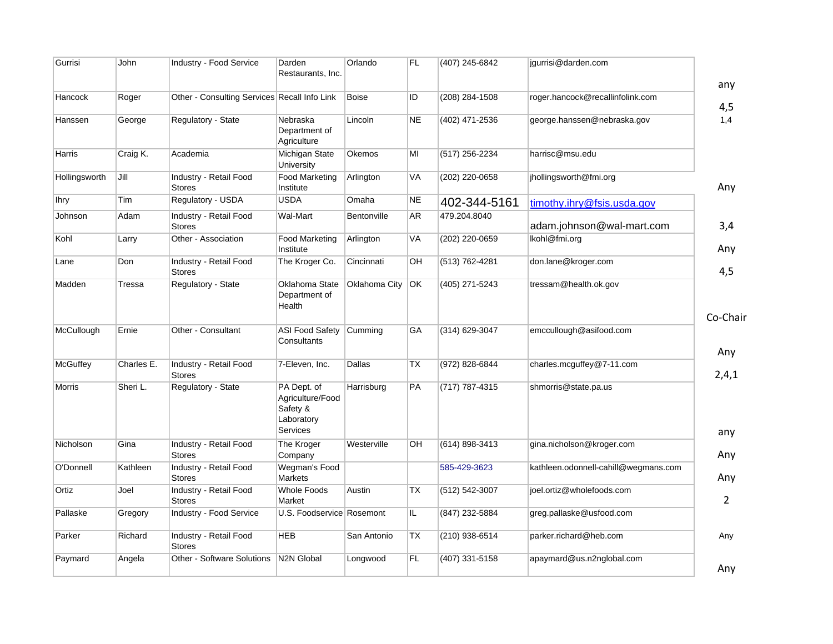| Gurrisi       | John       | Industry - Food Service                      | Darden<br>Restaurants, Inc.                                           | Orlando       | FL.       | (407) 245-6842   | jgurrisi@darden.com                  |                |
|---------------|------------|----------------------------------------------|-----------------------------------------------------------------------|---------------|-----------|------------------|--------------------------------------|----------------|
|               |            |                                              |                                                                       |               |           |                  |                                      | any            |
| Hancock       | Roger      | Other - Consulting Services Recall Info Link |                                                                       | <b>Boise</b>  | ID        | $(208)$ 284-1508 | roger.hancock@recallinfolink.com     | 4,5            |
| Hanssen       | George     | Regulatory - State                           | Nebraska<br>Department of<br>Agriculture                              | Lincoln       | <b>NE</b> | (402) 471-2536   | george.hanssen@nebraska.gov          | 1,4            |
| Harris        | Craig K.   | Academia                                     | <b>Michigan State</b><br>University                                   | Okemos        | MI        | (517) 256-2234   | harrisc@msu.edu                      |                |
| Hollingsworth | Jill       | Industry - Retail Food<br><b>Stores</b>      | Food Marketing<br>Institute                                           | Arlington     | VA        | (202) 220-0658   | jhollingsworth@fmi.org               | Any            |
| <b>Ihry</b>   | Tim        | Regulatory - USDA                            | <b>USDA</b>                                                           | Omaha         | ΝE        | 402-344-5161     | timothy.ihry@fsis.usda.gov           |                |
| Johnson       | Adam       | Industry - Retail Food<br><b>Stores</b>      | Wal-Mart                                                              | Bentonville   | AR        | 479.204.8040     | adam.johnson@wal-mart.com            | 3,4            |
| Kohl          | Larry      | Other - Association                          | <b>Food Marketing</b><br>Institute                                    | Arlington     | VA        | (202) 220-0659   | lkohl@fmi.org                        | Any            |
| Lane          | Don        | Industry - Retail Food<br><b>Stores</b>      | The Kroger Co.                                                        | Cincinnati    | OН        | (513) 762-4281   | don.lane@kroger.com                  | 4,5            |
| Madden        | Tressa     | Regulatory - State                           | Oklahoma State<br>Department of<br>Health                             | Oklahoma City | OK        | (405) 271-5243   | tressam@health.ok.gov                |                |
| McCullough    | Ernie      | Other - Consultant                           | <b>ASI Food Safety</b><br>Consultants                                 | Cumming       | GA        | (314) 629-3047   | emccullough@asifood.com              | Co-Chair       |
| McGuffey      | Charles E. | Industry - Retail Food<br><b>Stores</b>      | 7-Eleven, Inc.                                                        | Dallas        | ТX        | (972) 828-6844   | charles.mcguffey@7-11.com            | Any<br>2,4,1   |
| <b>Morris</b> | Sheri L.   | Regulatory - State                           | PA Dept. of<br>Agriculture/Food<br>Safety &<br>Laboratory<br>Services | Harrisburg    | <b>PA</b> | (717) 787-4315   | shmorris@state.pa.us                 | any            |
| Nicholson     | Gina       | Industry - Retail Food<br><b>Stores</b>      | The Kroger<br>Company                                                 | Westerville   | OН        | (614) 898-3413   | gina.nicholson@kroger.com            | Any            |
| O'Donnell     | Kathleen   | Industry - Retail Food<br><b>Stores</b>      | Wegman's Food<br><b>Markets</b>                                       |               |           | 585-429-3623     | kathleen.odonnell-cahill@wegmans.com | Any            |
| Ortiz         | Joel       | Industry - Retail Food<br><b>Stores</b>      | <b>Whole Foods</b><br>Market                                          | Austin        | TX        | (512) 542-3007   | joel.ortiz@wholefoods.com            | $\overline{2}$ |
| Pallaske      | Gregory    | <b>Industry - Food Service</b>               | U.S. Foodservice Rosemont                                             |               | IL.       | (847) 232-5884   | greg.pallaske@usfood.com             |                |
| Parker        | Richard    | Industry - Retail Food<br><b>Stores</b>      | <b>HEB</b>                                                            | San Antonio   | ТX        | (210) 938-6514   | parker.richard@heb.com               | Any            |
| Paymard       | Angela     | Other - Software Solutions                   | N2N Global                                                            | Longwood      | FL.       | (407) 331-5158   | apaymard@us.n2nglobal.com            | Any            |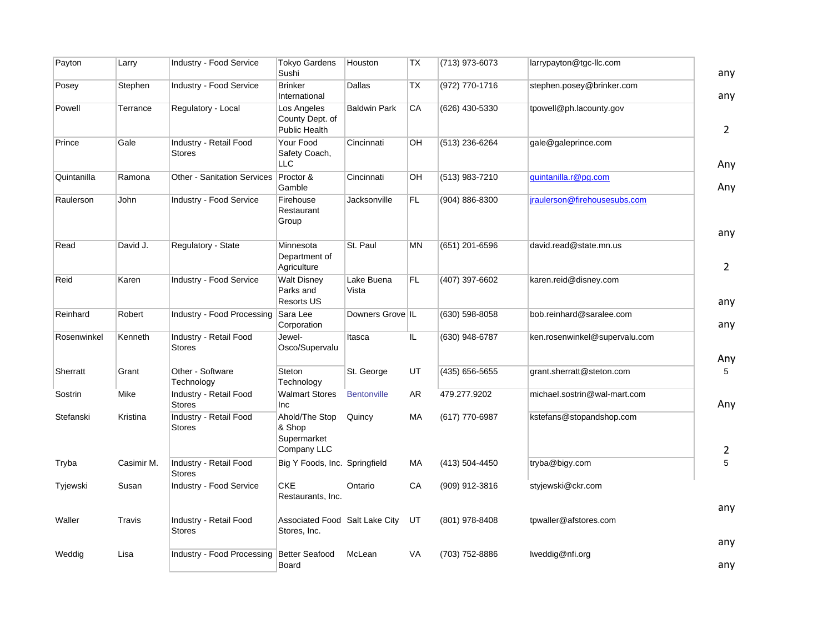| Payton      | Larry      | Industry - Food Service                 | Tokyo Gardens<br>Sushi                                 | Houston             | TX        | (713) 973-6073     | larrypayton@tgc-llc.com       | any                   |
|-------------|------------|-----------------------------------------|--------------------------------------------------------|---------------------|-----------|--------------------|-------------------------------|-----------------------|
| Posey       | Stephen    | Industry - Food Service                 | <b>Brinker</b><br>International                        | Dallas              | TX        | (972) 770-1716     | stephen.posey@brinker.com     | any                   |
| Powell      | Terrance   | Regulatory - Local                      | Los Angeles<br>County Dept. of<br>Public Health        | <b>Baldwin Park</b> | CA        | (626) 430-5330     | tpowell@ph.lacounty.gov       | $\overline{2}$        |
| Prince      | Gale       | Industry - Retail Food<br><b>Stores</b> | Your Food<br>Safety Coach,<br><b>LLC</b>               | Cincinnati          | OH        | (513) 236-6264     | gale@galeprince.com           | Any                   |
| Quintanilla | Ramona     | <b>Other - Sanitation Services</b>      | Proctor &<br>Gamble                                    | Cincinnati          | OH        | (513) 983-7210     | quintanilla.r@pg.com          | Any                   |
| Raulerson   | John       | Industry - Food Service                 | Firehouse<br>Restaurant<br>Group                       | Jacksonville        | FL.       | (904) 886-8300     | jraulerson@firehousesubs.com  |                       |
| Read        | David J.   | Regulatory - State                      | Minnesota<br>Department of<br>Agriculture              | St. Paul            | <b>MN</b> | (651) 201-6596     | david.read@state.mn.us        | any<br>$\overline{2}$ |
| Reid        | Karen      | Industry - Food Service                 | <b>Walt Disney</b><br>Parks and<br>Resorts US          | Lake Buena<br>Vista | FL.       | (407) 397-6602     | karen.reid@disney.com         | any                   |
| Reinhard    | Robert     | Industry - Food Processing              | Sara Lee<br>Corporation                                | Downers Grove IL    |           | (630) 598-8058     | bob.reinhard@saralee.com      | any                   |
| Rosenwinkel | Kenneth    | Industry - Retail Food<br><b>Stores</b> | Jewel-<br>Osco/Supervalu                               | Itasca              | IL.       | (630) 948-6787     | ken.rosenwinkel@supervalu.com | Any                   |
| Sherratt    | Grant      | Other - Software<br>Technology          | Steton<br>Technology                                   | St. George          | UT        | $(435) 656 - 5655$ | grant.sherratt@steton.com     | 5                     |
| Sostrin     | Mike       | Industry - Retail Food<br><b>Stores</b> | <b>Walmart Stores</b><br><b>Inc</b>                    | <b>Bentonville</b>  | AR        | 479.277.9202       | michael.sostrin@wal-mart.com  | Any                   |
| Stefanski   | Kristina   | Industry - Retail Food<br><b>Stores</b> | Ahold/The Stop<br>& Shop<br>Supermarket<br>Company LLC | Quincy              | <b>MA</b> | (617) 770-6987     | kstefans@stopandshop.com      | $\overline{2}$        |
| Tryba       | Casimir M. | Industry - Retail Food<br><b>Stores</b> | Big Y Foods, Inc. Springfield                          |                     | МA        | (413) 504-4450     | tryba@bigy.com                | 5                     |
| Tyjewski    | Susan      | <b>Industry - Food Service</b>          | <b>CKE</b><br>Restaurants, Inc.                        | Ontario             | CA        | (909) 912-3816     | styjewski@ckr.com             | any                   |
| Waller      | Travis     | Industry - Retail Food<br><b>Stores</b> | Associated Food Salt Lake City<br>Stores, Inc.         |                     | UT        | (801) 978-8408     | tpwaller@afstores.com         |                       |
| Weddig      | Lisa       | Industry - Food Processing              | <b>Better Seafood</b><br>Board                         | McLean              | VA        | (703) 752-8886     | lweddig@nfi.org               | any<br>any            |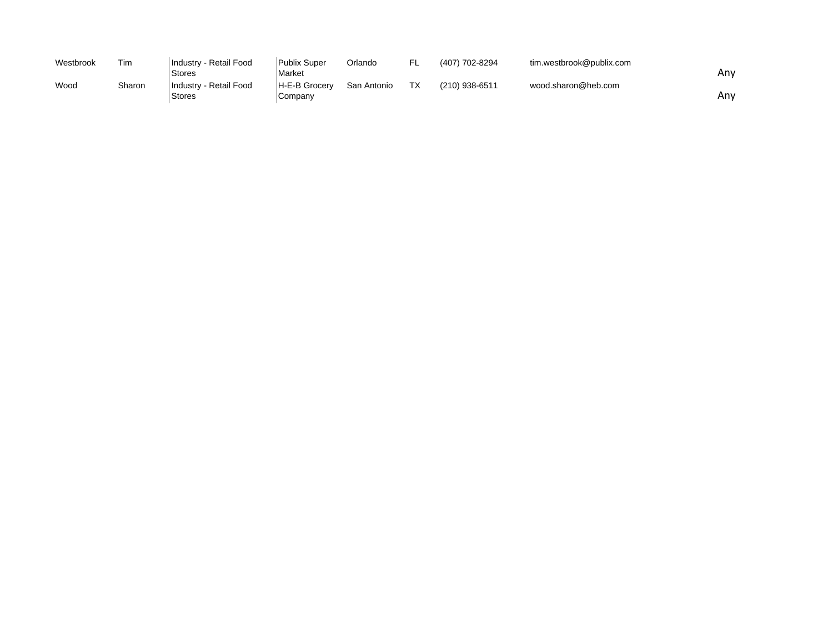| Westbrook | Tim    | Industry - Retail Food | Publix Super  | Orlando     | FL. | (407) 702-8294 | tim.westbrook@publix.com |     |
|-----------|--------|------------------------|---------------|-------------|-----|----------------|--------------------------|-----|
|           |        | Stores                 | Market        |             |     |                |                          | Anv |
| Wood      | Sharon | Industry - Retail Food | H-E-B Grocerv | San Antonio | TX  | (210) 938-6511 | wood.sharon@heb.com      |     |
|           |        | Stores                 | Company       |             |     |                |                          | Anv |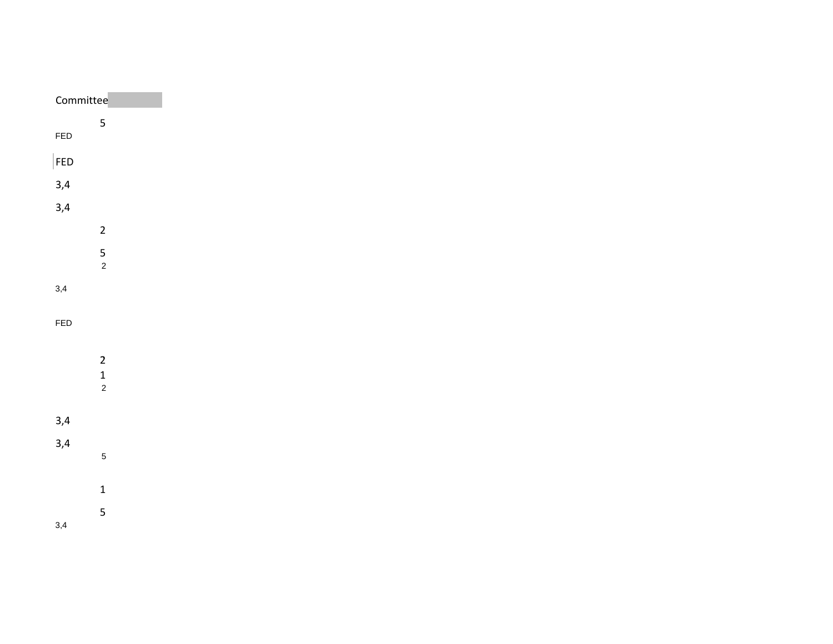| Committee                                  |
|--------------------------------------------|
| $\overline{\mathbf{5}}$                    |
|                                            |
|                                            |
|                                            |
|                                            |
| $\overline{2}$                             |
| $\frac{5}{2}$                              |
|                                            |
|                                            |
|                                            |
|                                            |
| $\begin{array}{c} 2 \\ 1 \\ 2 \end{array}$ |
|                                            |
|                                            |
|                                            |
| $\overline{5}$                             |
| $\mathbf{1}$                               |
| $\overline{5}$                             |
|                                            |
|                                            |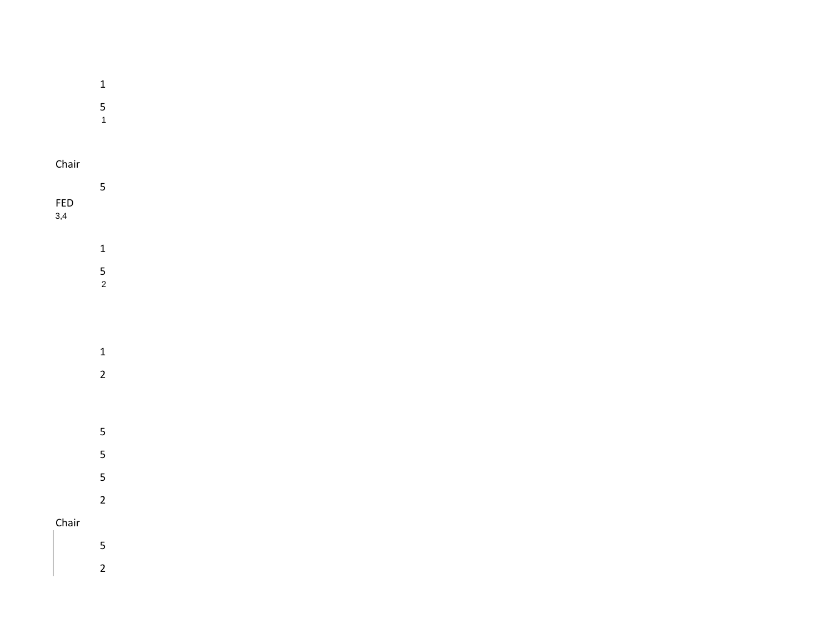| $\overline{1}$ |  |  |  |
|----------------|--|--|--|

- 
- 5 1

## Chair

|            | 5 |  |  |  |  |
|------------|---|--|--|--|--|
| <b>FED</b> |   |  |  |  |  |
| 3,4        |   |  |  |  |  |

- - 1
		- 5 2
	- - 1 2
	- 5
	- 5
	- 5
- 2 Chair
	- 5
		- 2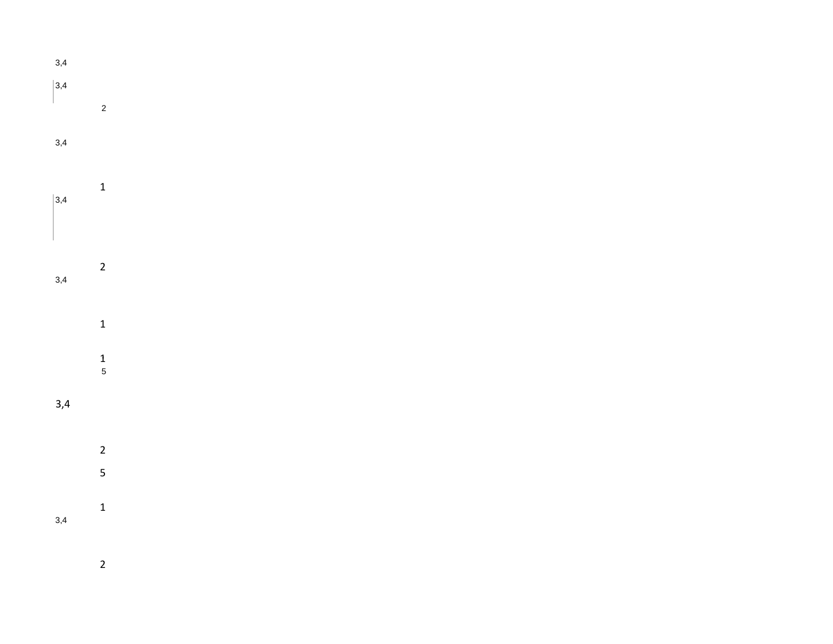3,4  $|3,4$ L 2 3,4 1  $|3,4|$ 2 3,4 1 1 5 3,4 2 5 1 3,4

2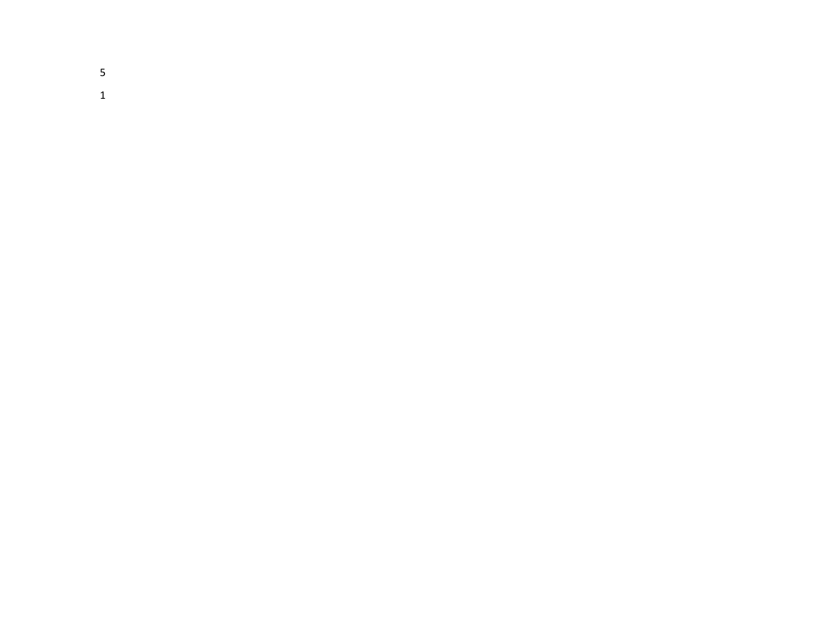5 1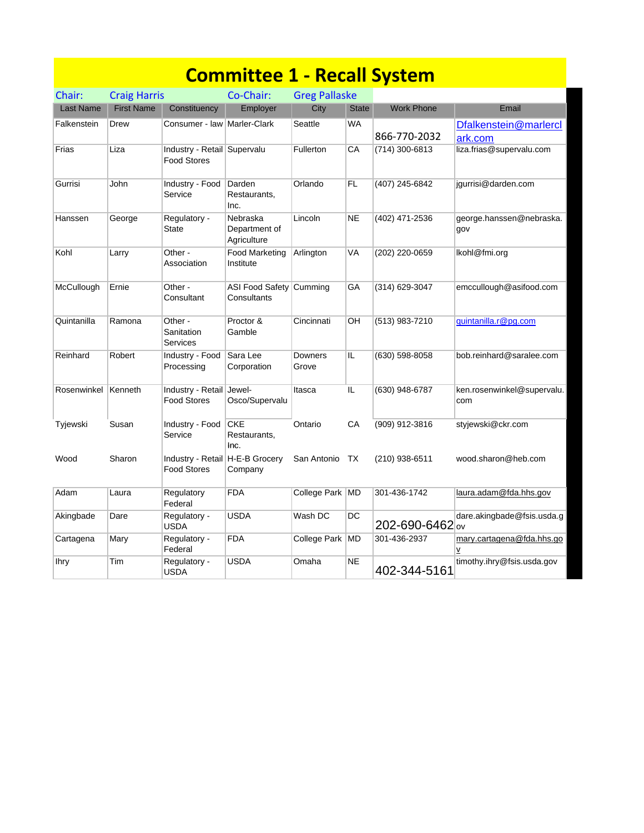|                  |                     |                                                       | <b>Committee 1 - Recall System</b>       |                      |              |                   |                                       |
|------------------|---------------------|-------------------------------------------------------|------------------------------------------|----------------------|--------------|-------------------|---------------------------------------|
| Chair:           | <b>Craig Harris</b> |                                                       | Co-Chair:                                | <b>Greg Pallaske</b> |              |                   |                                       |
| <b>Last Name</b> | <b>First Name</b>   | Constituency                                          | Employer                                 | City                 | <b>State</b> | <b>Work Phone</b> | Email                                 |
| Falkenstein      | Drew                | Consumer - law Marler-Clark                           |                                          | Seattle              | WA           | 866-770-2032      | Dfalkenstein@marlercl<br>ark.com      |
| Frias            | Liza                | Industry - Retail Supervalu<br><b>Food Stores</b>     |                                          | Fullerton            | СA           | (714) 300-6813    | liza.frias@supervalu.com              |
| Gurrisi          | John                | Industry - Food<br>Service                            | Darden<br>Restaurants,<br>Inc.           | Orlando              | FL.          | (407) 245-6842    | jgurrisi@darden.com                   |
| Hanssen          | George              | Regulatory -<br><b>State</b>                          | Nebraska<br>Department of<br>Agriculture | Lincoln              | <b>NE</b>    | (402) 471-2536    | george.hanssen@nebraska.<br>gov       |
| Kohl             | Larry               | Other -<br>Association                                | Food Marketing<br>Institute              | Arlington            | VA           | (202) 220-0659    | lkohl@fmi.org                         |
| McCullough       | Ernie               | Other -<br>Consultant                                 | ASI Food Safety<br>Consultants           | Cumming              | GA           | (314) 629-3047    | emccullough@asifood.com               |
| Quintanilla      | Ramona              | Other -<br>Sanitation<br>Services                     | Proctor &<br>Gamble                      | Cincinnati           | OН           | (513) 983-7210    | guintanilla.r@pg.com                  |
| Reinhard         | Robert              | Industry - Food<br>Processing                         | Sara Lee<br>Corporation                  | Downers<br>Grove     | IL           | (630) 598-8058    | bob.reinhard@saralee.com              |
| Rosenwinkel      | Kenneth             | Industry - Retail Jewel-<br><b>Food Stores</b>        | Osco/Supervalu                           | Itasca               | IL           | (630) 948-6787    | ken.rosenwinkel@supervalu.<br>com     |
| Tyjewski         | Susan               | Industry - Food<br>Service                            | <b>CKE</b><br>Restaurants,<br>Inc.       | Ontario              | CA           | (909) 912-3816    | styjewski@ckr.com                     |
| Wood             | Sharon              | Industry - Retail H-E-B Grocery<br><b>Food Stores</b> | Company                                  | San Antonio TX       |              | (210) 938-6511    | wood.sharon@heb.com                   |
| Adam             | Laura               | Regulatory<br>Federal                                 | <b>FDA</b>                               | College Park MD      |              | 301-436-1742      | laura.adam@fda.hhs.gov                |
| Akingbade        | Dare                | Regulatory -<br><b>USDA</b>                           | <b>USDA</b>                              | Wash DC              | DC           | 202-690-6462 ov   | dare.akingbade@fsis.usda.g            |
| Cartagena        | Mary                | Regulatory -<br>Federal                               | <b>FDA</b>                               | College Park MD      |              | 301-436-2937      | mary.cartagena@fda.hhs.go<br><u>v</u> |
| <b>Ihry</b>      | Tim                 | Regulatory -<br><b>USDA</b>                           | <b>USDA</b>                              | Omaha                | <b>NE</b>    | 402-344-5161      | timothy.ihry@fsis.usda.gov            |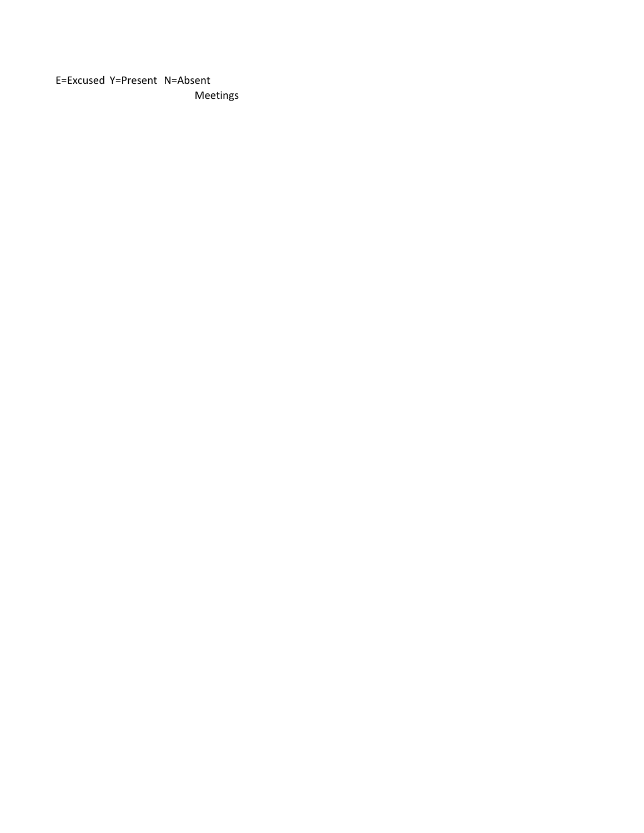E=Excused Y=Present N=Absent Meetings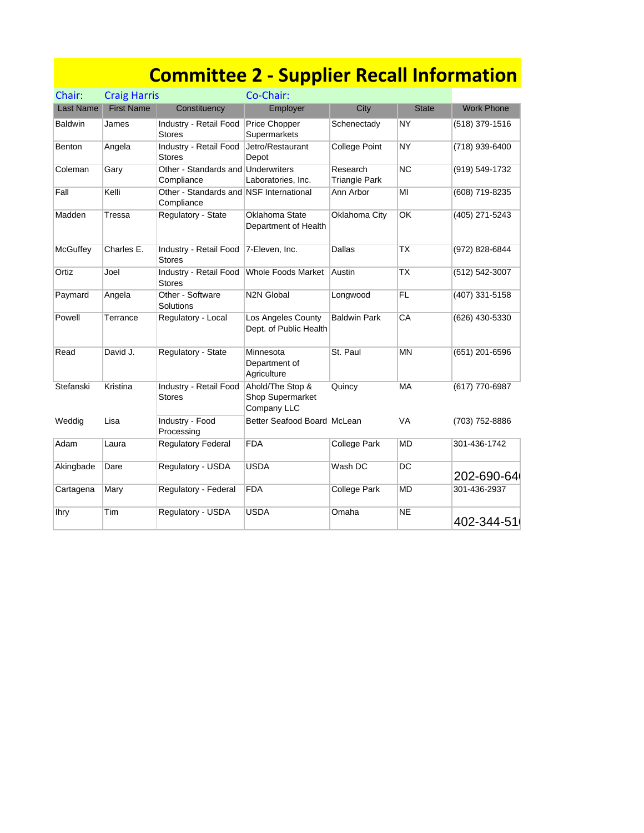|                |                     | <b>Committee 2 - Supplier Recall Information</b>      |                                                     |                           |              |                   |
|----------------|---------------------|-------------------------------------------------------|-----------------------------------------------------|---------------------------|--------------|-------------------|
| Chair:         | <b>Craig Harris</b> |                                                       | Co-Chair:                                           |                           |              |                   |
| Last Name      | <b>First Name</b>   | Constituency                                          | Employer                                            | City                      | <b>State</b> | <b>Work Phone</b> |
| <b>Baldwin</b> | James               | Industry - Retail Food<br><b>Stores</b>               | <b>Price Chopper</b><br>Supermarkets                | Schenectady               | NY           | (518) 379-1516    |
| <b>Benton</b>  | Angela              | Industry - Retail Food<br><b>Stores</b>               | Jetro/Restaurant<br>Depot                           | <b>College Point</b>      | <b>NY</b>    | (718) 939-6400    |
| Coleman        | Gary                | Other - Standards and Underwriters<br>Compliance      | Laboratories, Inc.                                  | Research<br>Triangle Park | <b>NC</b>    | (919) 549-1732    |
| Fall           | Kelli               | Other - Standards and NSF International<br>Compliance |                                                     | Ann Arbor                 | MI           | (608) 719-8235    |
| Madden         | Tressa              | Regulatory - State                                    | Oklahoma State<br>Department of Health              | Oklahoma City             | OK           | (405) 271-5243    |
| McGuffey       | Charles E.          | Industry - Retail Food<br><b>Stores</b>               | 7-Eleven, Inc.                                      | Dallas                    | <b>TX</b>    | (972) 828-6844    |
| Ortiz          | Joel                | Industry - Retail Food<br><b>Stores</b>               | Whole Foods Market                                  | ∣Austin                   | ТX           | (512) 542-3007    |
| Paymard        | Angela              | Other - Software<br>Solutions                         | <b>N2N Global</b>                                   | Longwood                  | <b>FL</b>    | (407) 331-5158    |
| Powell         | Terrance            | Regulatory - Local                                    | Los Angeles County<br>Dept. of Public Health        | <b>Baldwin Park</b>       | CA           | (626) 430-5330    |
| Read           | David J.            | Regulatory - State                                    | Minnesota<br>Department of<br>Agriculture           | St. Paul                  | <b>MN</b>    | (651) 201-6596    |
| Stefanski      | Kristina            | Industry - Retail Food<br><b>Stores</b>               | Ahold/The Stop &<br>Shop Supermarket<br>Company LLC | Quincy                    | MA           | (617) 770-6987    |
| Weddig         | Lisa                | Industry - Food<br>Processing                         | Better Seafood Board McLean                         |                           | <b>VA</b>    | (703) 752-8886    |
| Adam           | Laura               | Regulatory Federal                                    | <b>FDA</b>                                          | <b>College Park</b>       | <b>MD</b>    | 301-436-1742      |
| Akingbade      | Dare                | Regulatory - USDA                                     | <b>USDA</b>                                         | Wash DC                   | DC           | 202-690-64        |
| Cartagena      | Mary                | Regulatory - Federal                                  | <b>FDA</b>                                          | <b>College Park</b>       | <b>MD</b>    | 301-436-2937      |
| lhry           | Tim                 | Regulatory - USDA                                     | USDA                                                | Omaha                     | <b>NE</b>    | 402-344-51        |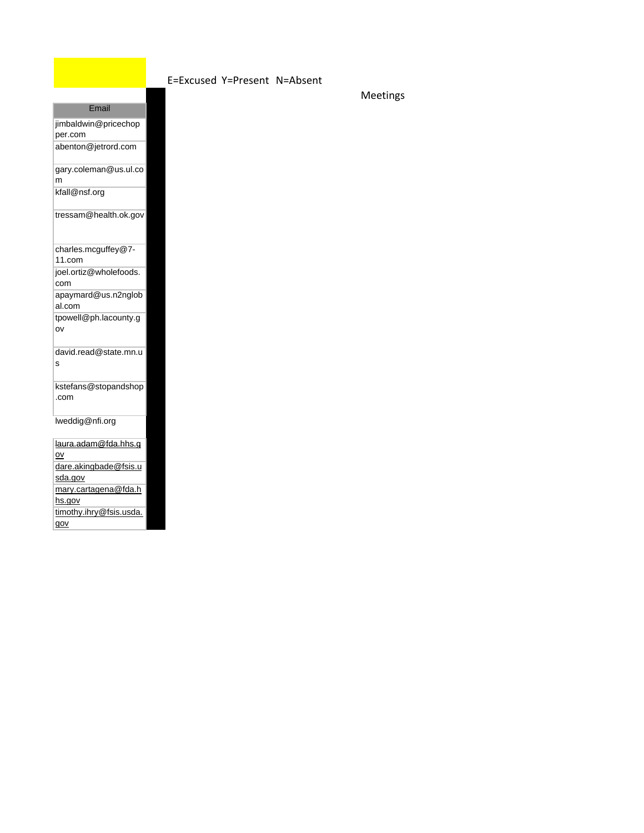## E=Excused Y=Present N=Absent

Meetings

| per.com         | jimbaldwin@pricechop    |
|-----------------|-------------------------|
|                 | abenton@jetrord.com     |
| m               | gary.coleman@us.ul.co   |
| kfall@nsf.org   |                         |
|                 | tressam@health.ok.gov   |
| 11.com          | charles.mcguffey@7-     |
| com             | joel.ortiz@wholefoods.  |
| al.com          | apaymard@us.n2nglob     |
| ov              | tpowell@ph.lacounty.g   |
| Ś               | david.read@state.mn.u   |
| .com            | kstefans@stopandshop    |
|                 | lweddig@nfi.org         |
| $\overline{ov}$ | laura.adam@fda.hhs.g    |
| sda.gov         | dare.akingbade@fsis.u   |
| hs.gov          | mary.cartagena@fda.h    |
| gov             | timothy.ihry@fsis.usda. |

**Email**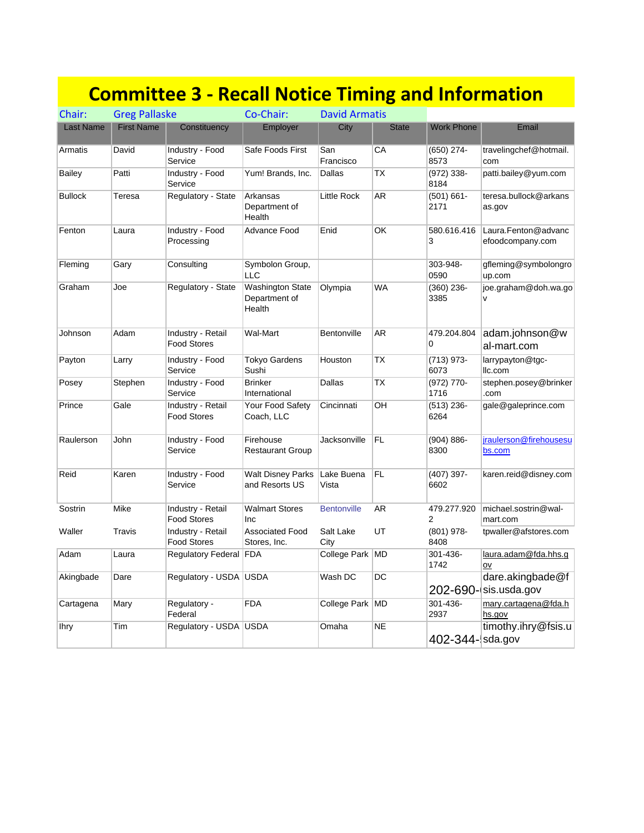## **Committee 3 ‐ Recall Notice Timing and Information**

| Chair:           | <b>Greg Pallaske</b> |                                         | Co-Chair:                                          | <b>David Armatis</b> |              |                       |                                           |
|------------------|----------------------|-----------------------------------------|----------------------------------------------------|----------------------|--------------|-----------------------|-------------------------------------------|
| <b>Last Name</b> | <b>First Name</b>    | Constituency                            | Employer                                           | City                 | <b>State</b> | <b>Work Phone</b>     | Email                                     |
| Armatis          | David                | Industry - Food<br>Service              | Safe Foods First                                   | San<br>Francisco     | CA           | (650) 274-<br>8573    | travelingchef@hotmail.<br>com             |
| <b>Bailey</b>    | Patti                | Industry - Food<br>Service              | Yum! Brands, Inc.                                  | Dallas               | TX           | $(972) 338 -$<br>8184 | patti.bailey@yum.com                      |
| <b>Bullock</b>   | Teresa               | Regulatory - State                      | Arkansas<br>Department of<br>Health                | Little Rock          | AR           | (501) 661-<br>2171    | teresa.bullock@arkans<br>as.gov           |
| Fenton           | Laura                | Industry - Food<br>Processing           | Advance Food                                       | Enid                 | OK           | 580.616.416<br>3      | Laura.Fenton@advanc<br>efoodcompany.com   |
| Fleming          | Gary                 | Consulting                              | Symbolon Group,<br><b>LLC</b>                      |                      |              | 303-948-<br>0590      | gfleming@symbolongro<br>up.com            |
| Graham           | Joe                  | Regulatory - State                      | <b>Washington State</b><br>Department of<br>Health | Olympia              | <b>WA</b>    | $(360)$ 236-<br>3385  | joe.graham@doh.wa.go<br>v                 |
| Johnson          | Adam                 | Industry - Retail<br><b>Food Stores</b> | Wal-Mart                                           | Bentonville          | AR           | 479.204.804<br>0      | adam.johnson@w<br>al-mart.com             |
| Payton           | Larry                | Industry - Food<br>Service              | <b>Tokyo Gardens</b><br>Sushi                      | Houston              | TX           | $(713)$ 973-<br>6073  | larrypayton@tgc-<br>Ilc.com               |
| Posey            | Stephen              | Industry - Food<br>Service              | <b>Brinker</b><br>International                    | Dallas               | TX           | $(972)$ 770-<br>1716  | stephen.posey@brinker<br>.com             |
| Prince           | Gale                 | Industry - Retail<br><b>Food Stores</b> | Your Food Safety<br>Coach, LLC                     | Cincinnati           | OH           | (513) 236-<br>6264    | gale@galeprince.com                       |
| Raulerson        | John                 | Industry - Food<br>Service              | Firehouse<br><b>Restaurant Group</b>               | Jacksonville         | FL           | $(904) 886 -$<br>8300 | jraulerson@firehousesu<br>bs.com          |
| Reid             | Karen                | Industry - Food<br>Service              | <b>Walt Disney Parks</b><br>and Resorts US         | Lake Buena<br>Vista  | FL           | (407) 397-<br>6602    | karen.reid@disney.com                     |
| Sostrin          | Mike                 | Industry - Retail<br><b>Food Stores</b> | <b>Walmart Stores</b><br>Inc                       | <b>Bentonville</b>   | <b>AR</b>    | 479.277.920<br>2      | michael.sostrin@wal-<br>mart.com          |
| Waller           | Travis               | Industry - Retail<br><b>Food Stores</b> | <b>Associated Food</b><br>Stores, Inc.             | Salt Lake<br>City    | UT           | $(801)$ 978-<br>8408  | tpwaller@afstores.com                     |
| Adam             | Laura                | Regulatory Federal FDA                  |                                                    | College Park MD      |              | 301-436-<br>1742      | laura.adam@fda.hhs.g<br>ov                |
| Akingbade        | Dare                 | Regulatory - USDA USDA                  |                                                    | Wash DC              | DC           |                       | dare.akingbade@f<br>202-690- sis.usda.gov |
| Cartagena        | Mary                 | Regulatory -<br>Federal                 | <b>FDA</b>                                         | College Park   MD    |              | 301-436-<br>2937      | mary.cartagena@fda.h<br>hs.gov            |
| <b>Ihry</b>      | Tim                  | Regulatory - USDA   USDA                |                                                    | Omaha                | <b>NE</b>    | 402-344-sda.gov       | timothy.ihry@fsis.u                       |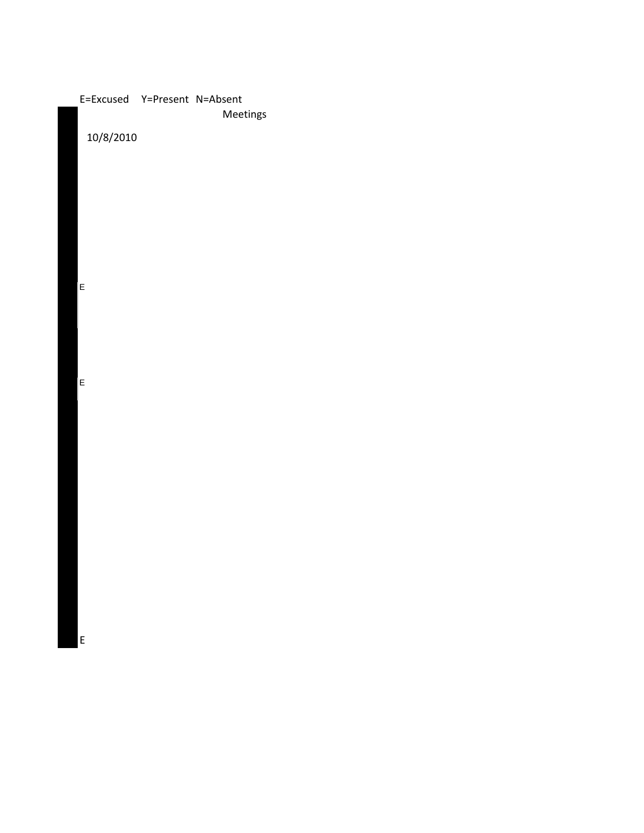| E=Excused Y=Present N=Absent | Meetings |
|------------------------------|----------|
| 10/8/2010                    |          |
|                              |          |
|                              |          |
|                              |          |
|                              |          |
|                              |          |
| E                            |          |
|                              |          |
|                              |          |
| E                            |          |
|                              |          |
|                              |          |
|                              |          |
|                              |          |
|                              |          |
|                              |          |
|                              |          |
|                              |          |
| E                            |          |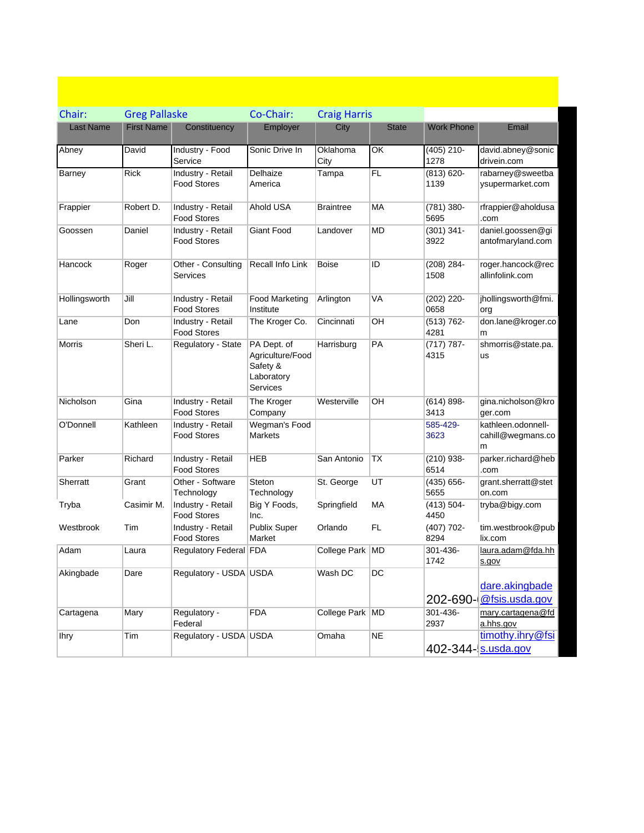| Chair:           | <b>Greg Pallaske</b> |                                         | Co-Chair:                                                             | <b>Craig Harris</b> |              |                       |                                              |
|------------------|----------------------|-----------------------------------------|-----------------------------------------------------------------------|---------------------|--------------|-----------------------|----------------------------------------------|
| <b>Last Name</b> | <b>First Name</b>    | Constituency                            | Employer                                                              | City                | <b>State</b> | <b>Work Phone</b>     | Email                                        |
| Abney            | David                | Industry - Food<br>Service              | Sonic Drive In                                                        | Oklahoma<br>City    | OK           | $(405)$ 210-<br>1278  | david.abney@sonic<br>drivein.com             |
| <b>Barney</b>    | <b>Rick</b>          | Industry - Retail<br><b>Food Stores</b> | Delhaize<br>America                                                   | Tampa               | FL           | $(813) 620 -$<br>1139 | rabarney@sweetba<br>ysupermarket.com         |
| Frappier         | Robert D.            | Industry - Retail<br><b>Food Stores</b> | Ahold USA                                                             | <b>Braintree</b>    | МA           | $(781)$ 380-<br>5695  | rfrappier@aholdusa<br>.com                   |
| Goossen          | Daniel               | Industry - Retail<br><b>Food Stores</b> | Giant Food                                                            | Landover            | <b>MD</b>    | $(301)$ 341-<br>3922  | daniel.goossen@gi<br>antofmaryland.com       |
| Hancock          | Roger                | Other - Consulting<br>Services          | Recall Info Link                                                      | Boise               | ID           | $(208)$ 284-<br>1508  | roger.hancock@rec<br>allinfolink.com         |
| Hollingsworth    | Jill                 | Industry - Retail<br><b>Food Stores</b> | <b>Food Marketing</b><br>Institute                                    | Arlington           | VA           | $(202)$ 220-<br>0658  | jhollingsworth@fmi.<br>org                   |
| Lane             | Don                  | Industry - Retail<br><b>Food Stores</b> | The Kroger Co.                                                        | Cincinnati          | OH           | $(513) 762 -$<br>4281 | don.lane@kroger.co<br>m                      |
| Morris           | Sheri L.             | Regulatory - State                      | PA Dept. of<br>Agriculture/Food<br>Safety &<br>Laboratory<br>Services | Harrisburg          | PA           | $(717) 787 -$<br>4315 | shmorris@state.pa.<br>us                     |
| Nicholson        | Gina                 | Industry - Retail<br><b>Food Stores</b> | The Kroger<br>Company                                                 | Westerville         | OН           | $(614) 898 -$<br>3413 | gina.nicholson@kro<br>ger.com                |
| O'Donnell        | Kathleen             | Industry - Retail<br><b>Food Stores</b> | Wegman's Food<br><b>Markets</b>                                       |                     |              | 585-429-<br>3623      | kathleen.odonnell-<br>cahill@wegmans.co<br>m |
| Parker           | Richard              | Industry - Retail<br><b>Food Stores</b> | HEB                                                                   | San Antonio         | ТX           | $(210)$ 938-<br>6514  | parker.richard@heb<br>.com                   |
| Sherratt         | Grant                | Other - Software<br>Technology          | Steton<br>Technology                                                  | St. George          | UT           | $(435) 656 -$<br>5655 | grant.sherratt@stet<br>on.com                |
| Tryba            | Casimir M.           | Industry - Retail<br><b>Food Stores</b> | Big Y Foods,<br>Inc.                                                  | Springfield         | MA           | $(413) 504 -$<br>4450 | tryba@bigy.com                               |
| Westbrook        | Tim                  | Industry - Retail<br><b>Food Stores</b> | Publix Super<br>Market                                                | Orlando             | FL           | $(407)$ 702-<br>8294  | tim.westbrook@pub<br>lix.com                 |
| Adam             | Laura                | Regulatory Federal FDA                  |                                                                       | College Park MD     |              | 301-436-<br>1742      | laura.adam@fda.hh<br>s.gov                   |
| Akingbade        | Dare                 | Regulatory - USDA USDA                  |                                                                       | Wash DC             | DC           | 202-690-              | dare.akingbade<br>@fsis.usda.gov             |
| Cartagena        | Mary                 | Regulatory -<br>Federal                 | <b>FDA</b>                                                            | College Park MD     |              | 301-436-<br>2937      | mary.cartagena@fd<br>a.hhs.gov               |
| <b>Ihry</b>      | Tim                  | Regulatory - USDA USDA                  |                                                                       | Omaha               | <b>NE</b>    | 402-344-              | timothy.ihry@fsi<br>s.usda.gov               |